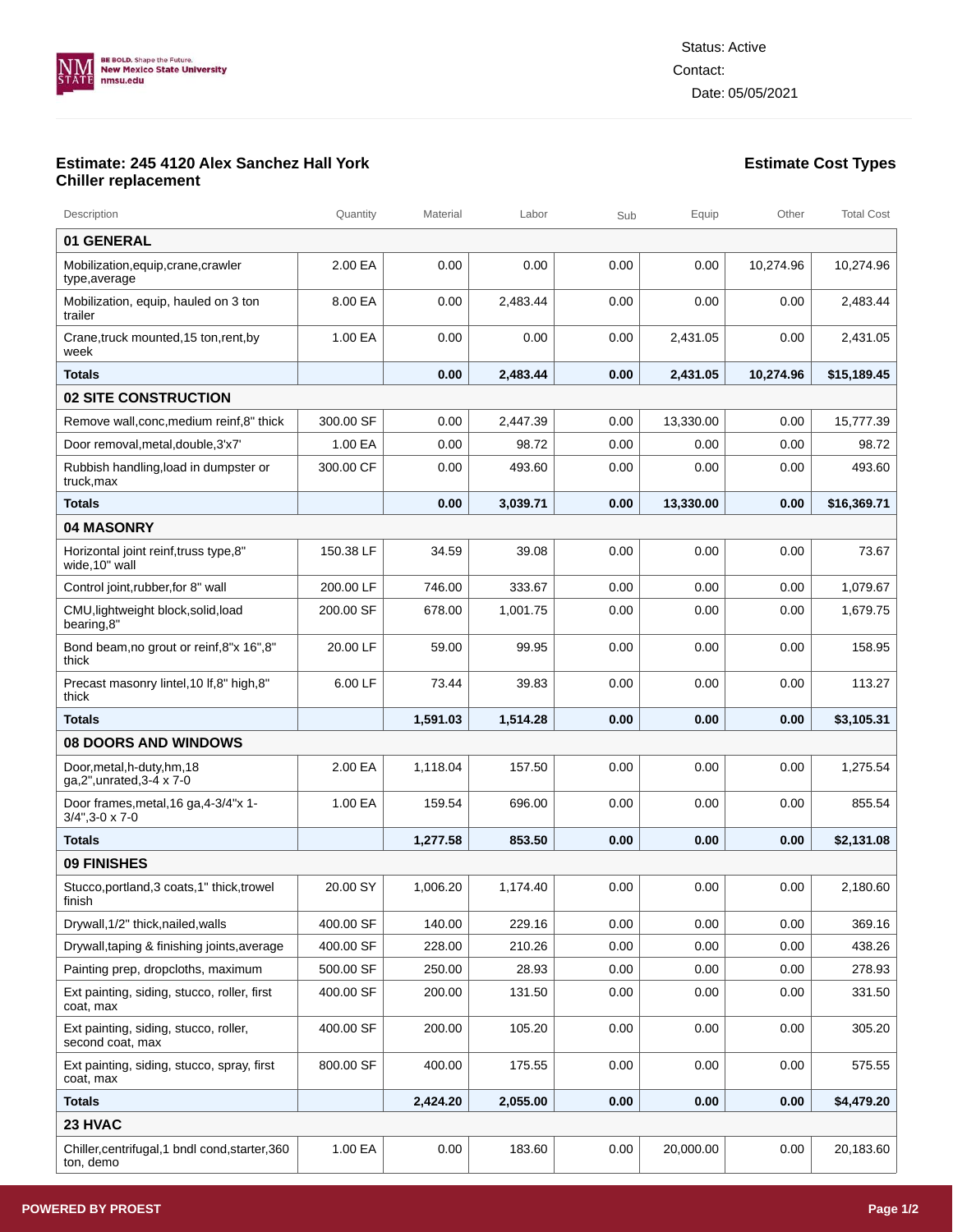

## **Estimate: 245 4120 Alex Sanchez Hall York Chiller replacement**

| Description                                                        | Quantity  | Material | Labor    | Sub  | Equip     | Other     | <b>Total Cost</b> |
|--------------------------------------------------------------------|-----------|----------|----------|------|-----------|-----------|-------------------|
| 01 GENERAL                                                         |           |          |          |      |           |           |                   |
| Mobilization,equip,crane,crawler<br>type, average                  | 2.00 EA   | 0.00     | 0.00     | 0.00 | 0.00      | 10,274.96 | 10,274.96         |
| Mobilization, equip, hauled on 3 ton<br>trailer                    | 8.00 EA   | 0.00     | 2,483.44 | 0.00 | 0.00      | 0.00      | 2.483.44          |
| Crane, truck mounted, 15 ton, rent, by<br>week                     | 1.00 EA   | 0.00     | 0.00     | 0.00 | 2,431.05  | 0.00      | 2,431.05          |
| <b>Totals</b>                                                      |           | 0.00     | 2,483.44 | 0.00 | 2,431.05  | 10,274.96 | \$15,189.45       |
| 02 SITE CONSTRUCTION                                               |           |          |          |      |           |           |                   |
| Remove wall, conc, medium reinf, 8" thick                          | 300.00 SF | 0.00     | 2.447.39 | 0.00 | 13,330.00 | 0.00      | 15,777.39         |
| Door removal, metal, double, 3'x7'                                 | 1.00 EA   | 0.00     | 98.72    | 0.00 | 0.00      | 0.00      | 98.72             |
| Rubbish handling, load in dumpster or<br>truck, max                | 300.00 CF | 0.00     | 493.60   | 0.00 | 0.00      | 0.00      | 493.60            |
| Totals                                                             |           | 0.00     | 3,039.71 | 0.00 | 13,330.00 | 0.00      | \$16,369.71       |
| <b>04 MASONRY</b>                                                  |           |          |          |      |           |           |                   |
| Horizontal joint reinf, truss type, 8"<br>wide,10" wall            | 150.38 LF | 34.59    | 39.08    | 0.00 | 0.00      | 0.00      | 73.67             |
| Control joint, rubber, for 8" wall                                 | 200.00 LF | 746.00   | 333.67   | 0.00 | 0.00      | 0.00      | 1,079.67          |
| CMU, lightweight block, solid, load<br>bearing,8"                  | 200.00 SF | 678.00   | 1,001.75 | 0.00 | 0.00      | 0.00      | 1,679.75          |
| Bond beam, no grout or reinf, 8"x 16", 8"<br>thick                 | 20.00 LF  | 59.00    | 99.95    | 0.00 | 0.00      | 0.00      | 158.95            |
| Precast masonry lintel, 10 If, 8" high, 8"<br>thick                | 6.00 LF   | 73.44    | 39.83    | 0.00 | 0.00      | 0.00      | 113.27            |
| Totals                                                             |           | 1,591.03 | 1,514.28 | 0.00 | 0.00      | 0.00      | \$3,105.31        |
| <b>08 DOORS AND WINDOWS</b>                                        |           |          |          |      |           |           |                   |
| Door, metal, h-duty, hm, 18<br>ga, 2", unrated, 3-4 x 7-0          | 2.00 EA   | 1,118.04 | 157.50   | 0.00 | 0.00      | 0.00      | 1,275.54          |
| Door frames, metal, 16 ga, 4-3/4"x 1-<br>$3/4$ ", $3-0 \times 7-0$ | 1.00 EA   | 159.54   | 696.00   | 0.00 | 0.00      | 0.00      | 855.54            |
| <b>Totals</b>                                                      |           | 1,277.58 | 853.50   | 0.00 | 0.00      | 0.00      | \$2,131.08        |
| <b>09 FINISHES</b>                                                 |           |          |          |      |           |           |                   |
| Stucco, portland, 3 coats, 1" thick, trowel<br>tinish              | 20.00 SY  | 1.006.20 | 1.174.40 | 0.00 | 0.00      | 0.00      | 2,180.60          |
| Drywall, 1/2" thick, nailed, walls                                 | 400.00 SF | 140.00   | 229.16   | 0.00 | 0.00      | 0.00      | 369.16            |
| Drywall, taping & finishing joints, average                        | 400.00 SF | 228.00   | 210.26   | 0.00 | 0.00      | 0.00      | 438.26            |
| Painting prep, dropcloths, maximum                                 | 500.00 SF | 250.00   | 28.93    | 0.00 | 0.00      | 0.00      | 278.93            |
| Ext painting, siding, stucco, roller, first<br>coat, max           | 400.00 SF | 200.00   | 131.50   | 0.00 | 0.00      | 0.00      | 331.50            |
| Ext painting, siding, stucco, roller,<br>second coat, max          | 400.00 SF | 200.00   | 105.20   | 0.00 | 0.00      | 0.00      | 305.20            |
| Ext painting, siding, stucco, spray, first<br>coat, max            | 800.00 SF | 400.00   | 175.55   | 0.00 | 0.00      | 0.00      | 575.55            |
| <b>Totals</b>                                                      |           | 2,424.20 | 2,055.00 | 0.00 | 0.00      | 0.00      | \$4,479.20        |
| 23 HVAC                                                            |           |          |          |      |           |           |                   |
| Chiller, centrifugal, 1 bndl cond, starter, 360<br>ton, demo       | 1.00 EA   | 0.00     | 183.60   | 0.00 | 20,000.00 | 0.00      | 20,183.60         |

## **Estimate Cost Types**